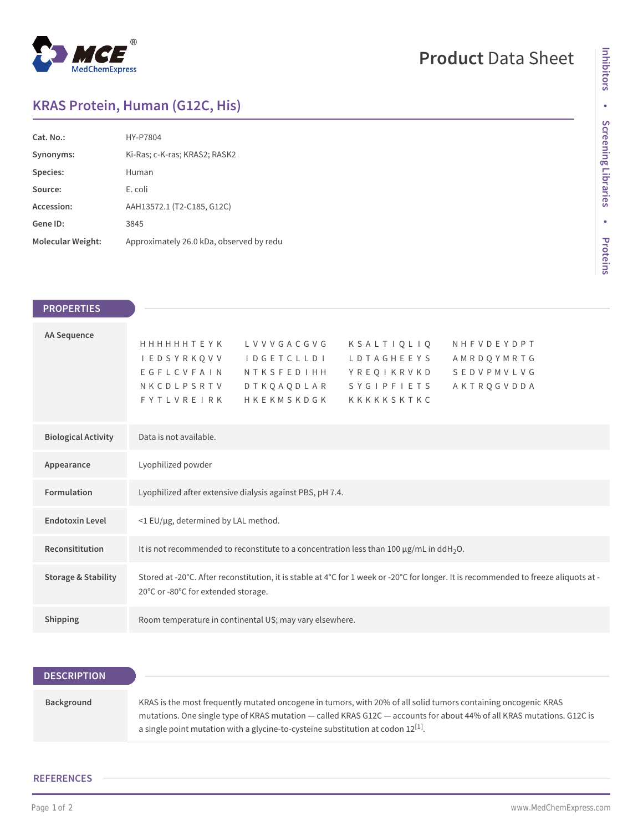

## **Product** Data Sheet

## **KRAS Protein, Human (G12C, His)**

| Cat. No.          | HY-P7804                                 |
|-------------------|------------------------------------------|
| Synonyms:         | Ki-Ras; c-K-ras; KRAS2; RASK2            |
| Species:          | Human                                    |
| Source:           | E. coli                                  |
| Accession:        | AAH13572.1 (T2-C185, G12C)               |
| Gene ID:          | 3845                                     |
| Molecular Weight: | Approximately 26.0 kDa, observed by redu |

**Inhibitors**

| <b>PROPERTIES</b>              |                                                                                                                                                                                                                                                                                                                    |
|--------------------------------|--------------------------------------------------------------------------------------------------------------------------------------------------------------------------------------------------------------------------------------------------------------------------------------------------------------------|
|                                |                                                                                                                                                                                                                                                                                                                    |
| <b>AA Sequence</b>             | <b>HHHHHHTEYK</b><br>LVVVGACGVG<br>KSALTIQLIQ<br>NHFVDEYDPT<br>I E D S Y R K Q V V<br><b>IDGETCLLDI</b><br>LDTAGHEEYS<br>AMRDQYMRTG<br>EGFLCVFAIN<br>SEDVPMVLVG<br><b>NTKSFEDIHH</b><br>YREQIKRVKD<br>NKCDLPSRTV<br><b>DTKQAQDLAR</b><br>SYGIPFIETS<br>AKTRQGVDDA<br><b>FYTLVREIRK</b><br>HKEKMSKDGK<br>KKKKKSKTKC |
| <b>Biological Activity</b>     | Data is not available.                                                                                                                                                                                                                                                                                             |
| Appearance                     | Lyophilized powder                                                                                                                                                                                                                                                                                                 |
| Formulation                    | Lyophilized after extensive dialysis against PBS, pH 7.4.                                                                                                                                                                                                                                                          |
| <b>Endotoxin Level</b>         | <1 EU/µg, determined by LAL method.                                                                                                                                                                                                                                                                                |
| Reconsititution                | It is not recommended to reconstitute to a concentration less than 100 $\mu$ g/mL in ddH <sub>2</sub> O.                                                                                                                                                                                                           |
| <b>Storage &amp; Stability</b> | Stored at -20°C. After reconstitution, it is stable at 4°C for 1 week or -20°C for longer. It is recommended to freeze aliquots at -<br>20°C or -80°C for extended storage.                                                                                                                                        |
| Shipping                       | Room temperature in continental US; may vary elsewhere.                                                                                                                                                                                                                                                            |

| <b>DESCRIPTION</b> |                                                                                                                                                                                                                                                                                                                                   |
|--------------------|-----------------------------------------------------------------------------------------------------------------------------------------------------------------------------------------------------------------------------------------------------------------------------------------------------------------------------------|
|                    |                                                                                                                                                                                                                                                                                                                                   |
| Background         | KRAS is the most frequently mutated oncogene in tumors, with 20% of all solid tumors containing oncogenic KRAS<br>mutations. One single type of KRAS mutation - called KRAS G12C - accounts for about 44% of all KRAS mutations. G12C is<br>a single point mutation with a glycine-to-cysteine substitution at codon $12^{[1]}$ . |

## **REFERENCES**